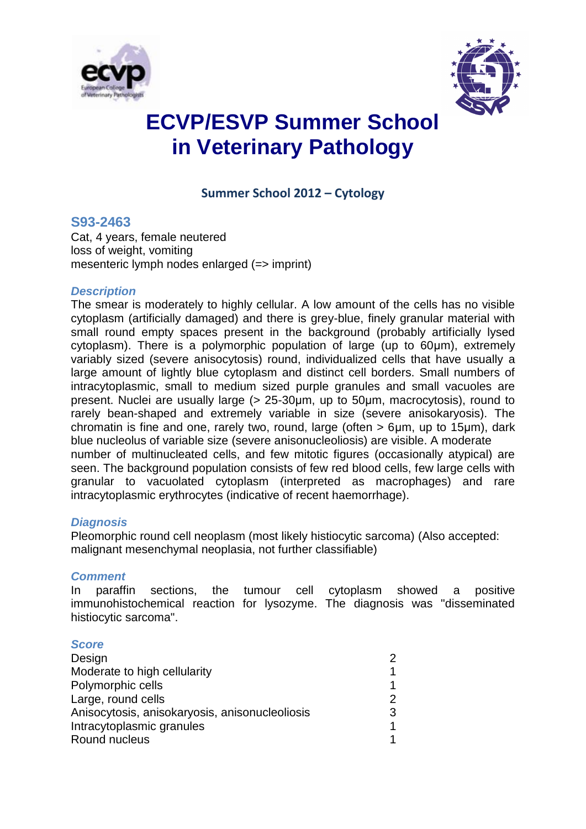



# **ECVP/ESVP Summer School in Veterinary Pathology**

**Summer School 2012 – Cytology**

### **S93-2463**

Cat, 4 years, female neutered loss of weight, vomiting mesenteric lymph nodes enlarged (=> imprint)

### *Description*

The smear is moderately to highly cellular. A low amount of the cells has no visible cytoplasm (artificially damaged) and there is grey-blue, finely granular material with small round empty spaces present in the background (probably artificially lysed cytoplasm). There is a polymorphic population of large (up to 60μm), extremely variably sized (severe anisocytosis) round, individualized cells that have usually a large amount of lightly blue cytoplasm and distinct cell borders. Small numbers of intracytoplasmic, small to medium sized purple granules and small vacuoles are present. Nuclei are usually large (> 25-30μm, up to 50μm, macrocytosis), round to rarely bean-shaped and extremely variable in size (severe anisokaryosis). The chromatin is fine and one, rarely two, round, large (often > 6um, up to 15um), dark blue nucleolus of variable size (severe anisonucleoliosis) are visible. A moderate number of multinucleated cells, and few mitotic figures (occasionally atypical) are seen. The background population consists of few red blood cells, few large cells with granular to vacuolated cytoplasm (interpreted as macrophages) and rare intracytoplasmic erythrocytes (indicative of recent haemorrhage).

#### *Diagnosis*

Pleomorphic round cell neoplasm (most likely histiocytic sarcoma) (Also accepted: malignant mesenchymal neoplasia, not further classifiable)

#### *Comment*

In paraffin sections, the tumour cell cytoplasm showed a positive immunohistochemical reaction for lysozyme. The diagnosis was "disseminated histiocytic sarcoma".

#### *Score*

| Design                                         |   |
|------------------------------------------------|---|
| Moderate to high cellularity                   |   |
| Polymorphic cells                              |   |
| Large, round cells                             |   |
| Anisocytosis, anisokaryosis, anisonucleoliosis | 3 |
| Intracytoplasmic granules                      |   |
| Round nucleus                                  |   |